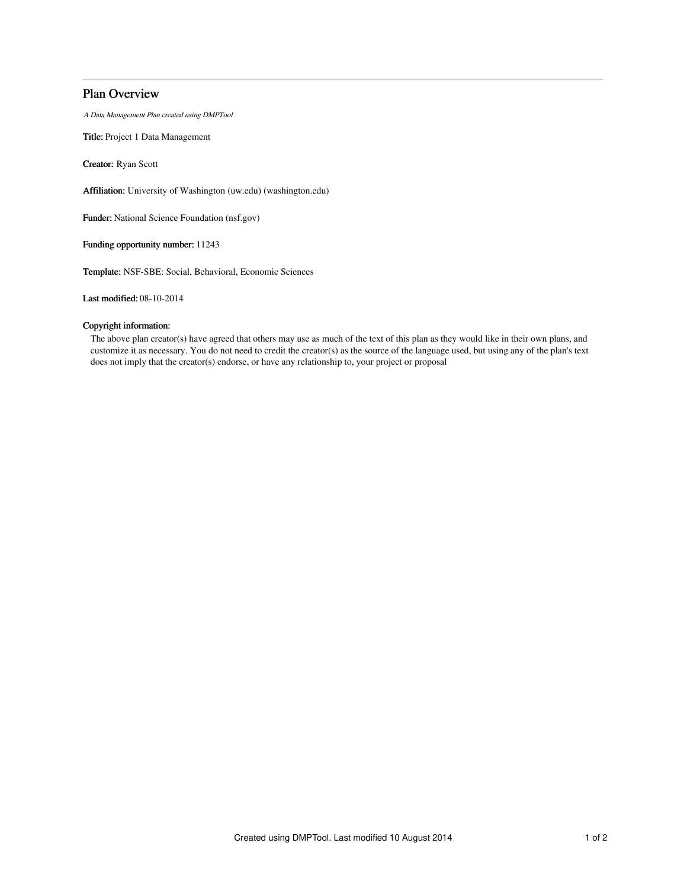# Plan Overview

A Data Management Plan created using DMPTool

Title: Project 1 Data Management

Creator: Ryan Scott

Affiliation: University of Washington (uw.edu) (washington.edu)

Funder: National Science Foundation (nsf.gov)

Funding opportunity number: 11243

Template: NSF-SBE: Social, Behavioral, Economic Sciences

Last modified: 08-10-2014

## Copyright information:

The above plan creator(s) have agreed that others may use as much of the text of this plan as they would like in their own plans, and customize it as necessary. You do not need to credit the creator(s) as the source of the language used, but using any of the plan's text does not imply that the creator(s) endorse, or have any relationship to, your project or proposal